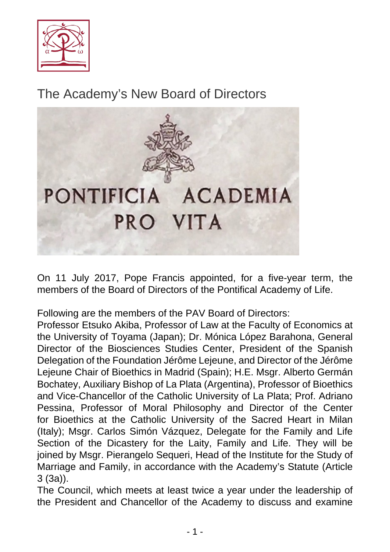

The Academy's New Board of Directors



On 11 July 2017, Pope Francis appointed, for a five-year term, the members of the Board of Directors of the Pontifical Academy of Life.

Following are the members of the PAV Board of Directors:

Professor Etsuko Akiba, Professor of Law at the Faculty of Economics at the University of Toyama (Japan); Dr. Mónica López Barahona, General Director of the Biosciences Studies Center, President of the Spanish Delegation of the Foundation Jérôme Lejeune, and Director of the Jérôme Lejeune Chair of Bioethics in Madrid (Spain); H.E. Msgr. Alberto Germán Bochatey, Auxiliary Bishop of La Plata (Argentina), Professor of Bioethics and Vice-Chancellor of the Catholic University of La Plata; Prof. Adriano Pessina, Professor of Moral Philosophy and Director of the Center for Bioethics at the Catholic University of the Sacred Heart in Milan (Italy); Msgr. Carlos Simón Vázquez, Delegate for the Family and Life Section of the Dicastery for the Laity, Family and Life. They will be joined by Msgr. Pierangelo Sequeri, Head of the Institute for the Study of Marriage and Family, in accordance with the Academy's Statute (Article 3 (3a)).

The Council, which meets at least twice a year under the leadership of the President and Chancellor of the Academy to discuss and examine